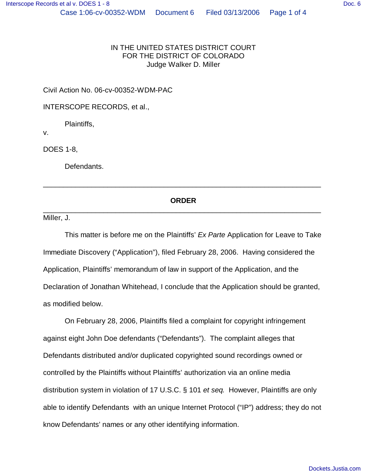## IN THE UNITED STATES DISTRICT COURT FOR THE DISTRICT OF COLORADO Judge Walker D. Miller

Civil Action No. 06-cv-00352-WDM-PAC

INTERSCOPE RECORDS, et al.,

Plaintiffs,

v.

DOES 1-8,

Defendants.

## **ORDER** \_\_\_\_\_\_\_\_\_\_\_\_\_\_\_\_\_\_\_\_\_\_\_\_\_\_\_\_\_\_\_\_\_\_\_\_\_\_\_\_\_\_\_\_\_\_\_\_\_\_\_\_\_\_\_\_\_\_\_\_\_\_\_\_\_\_\_\_\_

\_\_\_\_\_\_\_\_\_\_\_\_\_\_\_\_\_\_\_\_\_\_\_\_\_\_\_\_\_\_\_\_\_\_\_\_\_\_\_\_\_\_\_\_\_\_\_\_\_\_\_\_\_\_\_\_\_\_\_\_\_\_\_\_\_\_\_\_\_

Miller, J.

This matter is before me on the Plaintiffs'*Ex Parte* Application for Leave to Take Immediate Discovery ("Application"), filed February 28, 2006. Having considered the Application, Plaintiffs' memorandum of law in support of the Application, and the Declaration of Jonathan Whitehead, I conclude that the Application should be granted, as modified below.

On February 28, 2006, Plaintiffs filed a complaint for copyright infringement against eight John Doe defendants ("Defendants"). The complaint alleges that Defendants distributed and/or duplicated copyrighted sound recordings owned or controlled by the Plaintiffs without Plaintiffs' authorization via an online media distribution system in violation of 17 U.S.C. § 101 *et seq.* However, Plaintiffs are only able to identify Defendants with an unique Internet Protocol ("IP") address; they do not know Defendants' names or any other identifying information.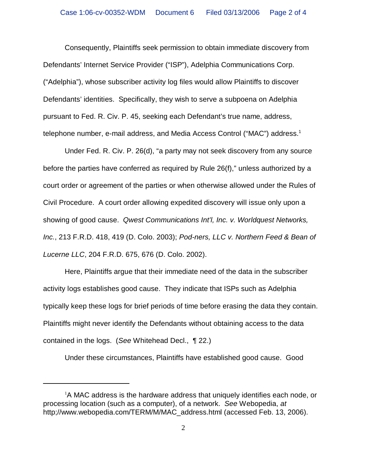Consequently, Plaintiffs seek permission to obtain immediate discovery from Defendants' Internet Service Provider ("ISP"), Adelphia Communications Corp. ("Adelphia"), whose subscriber activity log files would allow Plaintiffs to discover Defendants' identities. Specifically, they wish to serve a subpoena on Adelphia pursuant to Fed. R. Civ. P. 45, seeking each Defendant's true name, address, telephone number, e-mail address, and Media Access Control ("MAC") address.<sup>1</sup>

Under Fed. R. Civ. P. 26(d), "a party may not seek discovery from any source before the parties have conferred as required by Rule 26(f)," unless authorized by a court order or agreement of the parties or when otherwise allowed under the Rules of Civil Procedure. A court order allowing expedited discovery will issue only upon a showing of good cause. *Qwest Communications Int'l, Inc. v. Worldquest Networks, Inc.*, 213 F.R.D. 418, 419 (D. Colo. 2003); *Pod-ners, LLC v. Northern Feed & Bean of Lucerne LLC*, 204 F.R.D. 675, 676 (D. Colo. 2002).

Here, Plaintiffs argue that their immediate need of the data in the subscriber activity logs establishes good cause. They indicate that ISPs such as Adelphia typically keep these logs for brief periods of time before erasing the data they contain. Plaintiffs might never identify the Defendants without obtaining access to the data contained in the logs. (*See* Whitehead Decl., ¶ 22.)

Under these circumstances, Plaintiffs have established good cause. Good

 $1A$  MAC address is the hardware address that uniquely identifies each node, or processing location (such as a computer), of a network. *See* Webopedia, *at* http;//www.webopedia.com/TERM/M/MAC\_address.html (accessed Feb. 13, 2006).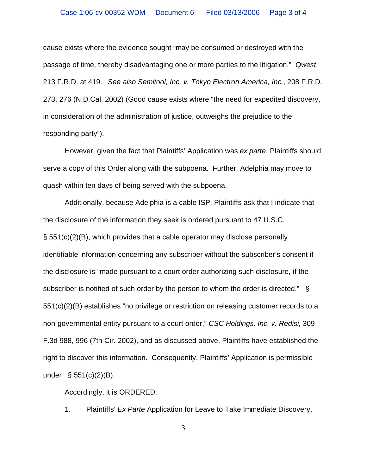cause exists where the evidence sought "may be consumed or destroyed with the passage of time, thereby disadvantaging one or more parties to the litigation." *Qwest*, 213 F.R.D. at 419. *See also Semitool, Inc. v. Tokyo Electron America, Inc.*, 208 F.R.D. 273, 276 (N.D.Cal. 2002) (Good cause exists where "the need for expedited discovery, in consideration of the administration of justice, outweighs the prejudice to the responding party").

However, given the fact that Plaintiffs' Application was *ex parte*, Plaintiffs should serve a copy of this Order along with the subpoena. Further, Adelphia may move to quash within ten days of being served with the subpoena.

Additionally, because Adelphia is a cable ISP, Plaintiffs ask that I indicate that the disclosure of the information they seek is ordered pursuant to 47 U.S.C. § 551(c)(2)(B), which provides that a cable operator may disclose personally identifiable information concerning any subscriber without the subscriber's consent if the disclosure is "made pursuant to a court order authorizing such disclosure, if the subscriber is notified of such order by the person to whom the order is directed." § 551(c)(2)(B) establishes "no privilege or restriction on releasing customer records to a non-governmental entity pursuant to a court order,"*CSC Holdings, Inc. v. Redisi*, 309 F.3d 988, 996 (7th Cir. 2002), and as discussed above, Plaintiffs have established the right to discover this information. Consequently, Plaintiffs' Application is permissible under  $\S$  551(c)(2)(B).

Accordingly, it is ORDERED:

1. Plaintiffs'*Ex Parte* Application for Leave to Take Immediate Discovery,